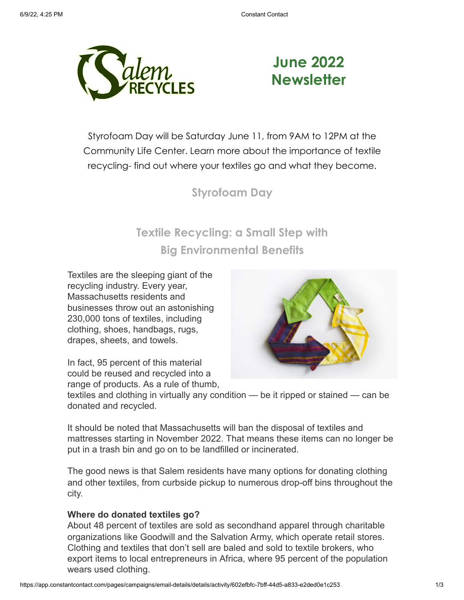

# **June 2022 Newsletter**

Styrofoam Day will be Saturday June 11, from 9AM to 12PM at the Community Life Center. Learn more about the importance of textile recycling- find out where your textiles go and what they become.

### **Styrofoam Day**

## **Textile Recycling: a Small Step with Big Environmental Benefits**

Textiles are the sleeping giant of the recycling industry. Every year, Massachusetts residents and businesses throw out an astonishing 230,000 tons of textiles, including clothing, shoes, handbags, rugs, drapes, sheets, and towels.

In fact, 95 percent of this material could be reused and recycled into a range of products. As a rule of thumb,



textiles and clothing in virtually any condition — be it ripped or stained — can be donated and recycled.

It should be noted that Massachusetts will ban the disposal of textiles and mattresses starting in November 2022. That means these items can no longer be put in a trash bin and go on to be landfilled or incinerated.

The good news is that Salem residents have many options for donating clothing and other textiles, from curbside pickup to numerous drop-off bins throughout the city.

### **Where do donated textiles go?**

About 48 percent of textiles are sold as secondhand apparel through charitable organizations like Goodwill and the Salvation Army, which operate retail stores. Clothing and textiles that don't sell are baled and sold to textile brokers, who export items to local entrepreneurs in Africa, where 95 percent of the population wears used clothing.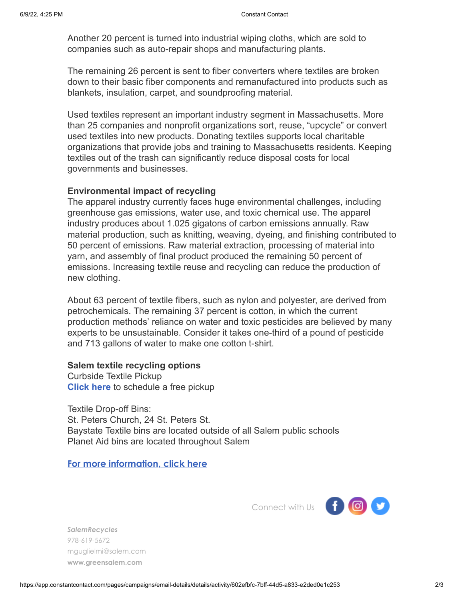Another 20 percent is turned into industrial wiping cloths, which are sold to companies such as auto-repair shops and manufacturing plants.

The remaining 26 percent is sent to fiber converters where textiles are broken down to their basic fiber components and remanufactured into products such as blankets, insulation, carpet, and soundproofing material.

Used textiles represent an important industry segment in Massachusetts. More than 25 companies and nonprofit organizations sort, reuse, "upcycle" or convert used textiles into new products. Donating textiles supports local charitable organizations that provide jobs and training to Massachusetts residents. Keeping textiles out of the trash can significantly reduce disposal costs for local governments and businesses.

#### **Environmental impact of recycling**

The apparel industry currently faces huge environmental challenges, including greenhouse gas emissions, water use, and toxic chemical use. The apparel industry produces about 1.025 gigatons of carbon emissions annually. Raw material production, such as knitting, weaving, dyeing, and finishing contributed to 50 percent of emissions. Raw material extraction, processing of material into yarn, and assembly of final product produced the remaining 50 percent of emissions. Increasing textile reuse and recycling can reduce the production of new clothing.

About 63 percent of textile fibers, such as nylon and polyester, are derived from petrochemicals. The remaining 37 percent is cotton, in which the current production methods' reliance on water and toxic pesticides are believed by many experts to be unsustainable. Consider it takes one-third of a pound of pesticide and 713 gallons of water to make one cotton t-shirt.

#### **Salem textile recycling options**

Curbside Textile Pickup **[Click here](https://www.helpsy.co/pickup)** to schedule a free pickup

Textile Drop-off Bins: St. Peters Church, 24 St. Peters St. Baystate Textile bins are located outside of all Salem public schools Planet Aid bins are located throughout Salem

#### **[For more information, click here](https://www.greensalem.com/textile-recycling/)**



*SalemRecycles* 978-619-5672 mguglielmi@salem.com **[www.greensalem.com](http://www.greensalem.com/)**